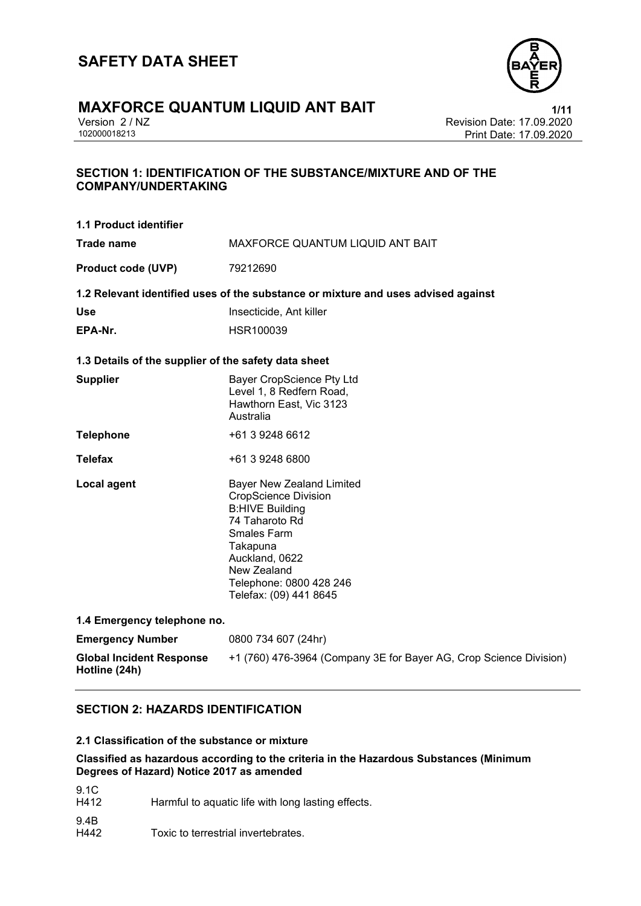

# **MAXFORCE QUANTUM LIQUID ANT BAIT**<br>
Version 2 / NZ<br>
Revision Date: 17.09.2020

Version 2 / NZ Revision Date: 17.09.2020 Print Date: 17.09.2020

### **SECTION 1: IDENTIFICATION OF THE SUBSTANCE/MIXTURE AND OF THE COMPANY/UNDERTAKING**

| 1.1 Product identifier                               |                                                                                                                                                                                                                                     |  |  |  |
|------------------------------------------------------|-------------------------------------------------------------------------------------------------------------------------------------------------------------------------------------------------------------------------------------|--|--|--|
| Trade name                                           | MAXFORCE QUANTUM LIQUID ANT BAIT                                                                                                                                                                                                    |  |  |  |
| <b>Product code (UVP)</b>                            | 79212690                                                                                                                                                                                                                            |  |  |  |
|                                                      | 1.2 Relevant identified uses of the substance or mixture and uses advised against                                                                                                                                                   |  |  |  |
| <b>Use</b>                                           | Insecticide, Ant killer                                                                                                                                                                                                             |  |  |  |
| EPA-Nr.                                              | HSR100039                                                                                                                                                                                                                           |  |  |  |
| 1.3 Details of the supplier of the safety data sheet |                                                                                                                                                                                                                                     |  |  |  |
| <b>Supplier</b>                                      | <b>Bayer CropScience Pty Ltd</b><br>Level 1, 8 Redfern Road,<br>Hawthorn East, Vic 3123<br>Australia                                                                                                                                |  |  |  |
| <b>Telephone</b>                                     | +61 3 9248 6612                                                                                                                                                                                                                     |  |  |  |
| <b>Telefax</b>                                       | +61 3 9248 6800                                                                                                                                                                                                                     |  |  |  |
| <b>Local agent</b>                                   | <b>Bayer New Zealand Limited</b><br><b>CropScience Division</b><br><b>B:HIVE Building</b><br>74 Taharoto Rd<br><b>Smales Farm</b><br>Takapuna<br>Auckland, 0622<br>New Zealand<br>Telephone: 0800 428 246<br>Telefax: (09) 441 8645 |  |  |  |
| 1.4 Emergency telephone no.                          |                                                                                                                                                                                                                                     |  |  |  |
| <b>Emergency Number</b>                              | 0800 734 607 (24hr)                                                                                                                                                                                                                 |  |  |  |
| <b>Global Incident Response</b><br>Hotline (24h)     | +1 (760) 476-3964 (Company 3E for Bayer AG, Crop Science Division)                                                                                                                                                                  |  |  |  |

### **SECTION 2: HAZARDS IDENTIFICATION**

### **2.1 Classification of the substance or mixture**

### **Classified as hazardous according to the criteria in the Hazardous Substances (Minimum Degrees of Hazard) Notice 2017 as amended**

- 9.1C<br>H412 Harmful to aquatic life with long lasting effects. 9.4B
- H442 Toxic to terrestrial invertebrates.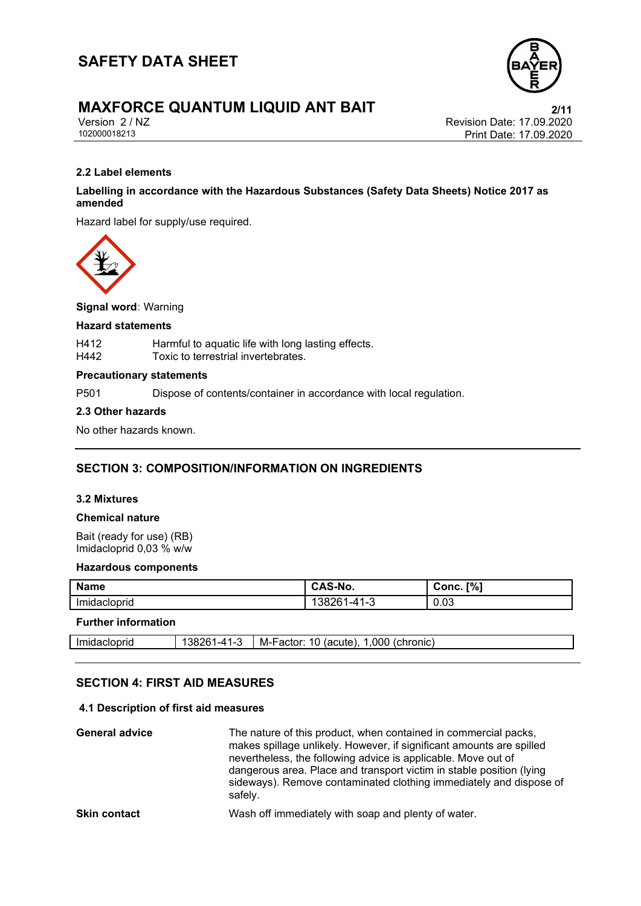

# **MAXFORCE QUANTUM LIQUID ANT BAIT**<br>
Version 2 / NZ<br>
Revision Date: 17.09.2020

Version 2 / NZ Revision Date: 17.09.2020 Print Date: 17.09.2020

### **2.2 Label elements**

### **Labelling in accordance with the Hazardous Substances (Safety Data Sheets) Notice 2017 as amended**

Hazard label for supply/use required.



**Signal word:** Warning

### **Hazard statements**

| H412 | Harmful to aquatic life with long lasting effects. |
|------|----------------------------------------------------|
| H442 | Toxic to terrestrial invertebrates.                |

### **Precautionary statements**

P501 Dispose of contents/container in accordance with local regulation.

### **2.3 Other hazards**

No other hazards known.

### **SECTION 3: COMPOSITION/INFORMATION ON INGREDIENTS**

### **3.2 Mixtures**

### **Chemical nature**

Bait (ready for use) (RB) Imidacloprid 0,03 % w/w

### **Hazardous components**

| <b>Name</b>             | ີ <b>AS-No.</b><br>$\mathbf{L}$                     | [%]<br>Conc. |
|-------------------------|-----------------------------------------------------|--------------|
| . .<br>lmı<br>dacloprid | $\sqrt{2}$<br>$1 - A^4$<br>$J^{\sim}$<br>د- ا<br>זו | 0.03         |

### **Further information**

| Imidacioprid | <b></b><br>ാഠ∠<br>--<br>. . | 000<br><i>(chronic</i><br>acute.<br>M-Factor <sup>.</sup> |
|--------------|-----------------------------|-----------------------------------------------------------|
|              |                             |                                                           |

### **SECTION 4: FIRST AID MEASURES**

### **4.1 Description of first aid measures**

| <b>General advice</b> | The nature of this product, when contained in commercial packs,<br>makes spillage unlikely. However, if significant amounts are spilled<br>nevertheless, the following advice is applicable. Move out of<br>dangerous area. Place and transport victim in stable position (lying<br>sideways). Remove contaminated clothing immediately and dispose of<br>safely. |
|-----------------------|-------------------------------------------------------------------------------------------------------------------------------------------------------------------------------------------------------------------------------------------------------------------------------------------------------------------------------------------------------------------|
| <b>Skin contact</b>   | Wash off immediately with soap and plenty of water.                                                                                                                                                                                                                                                                                                               |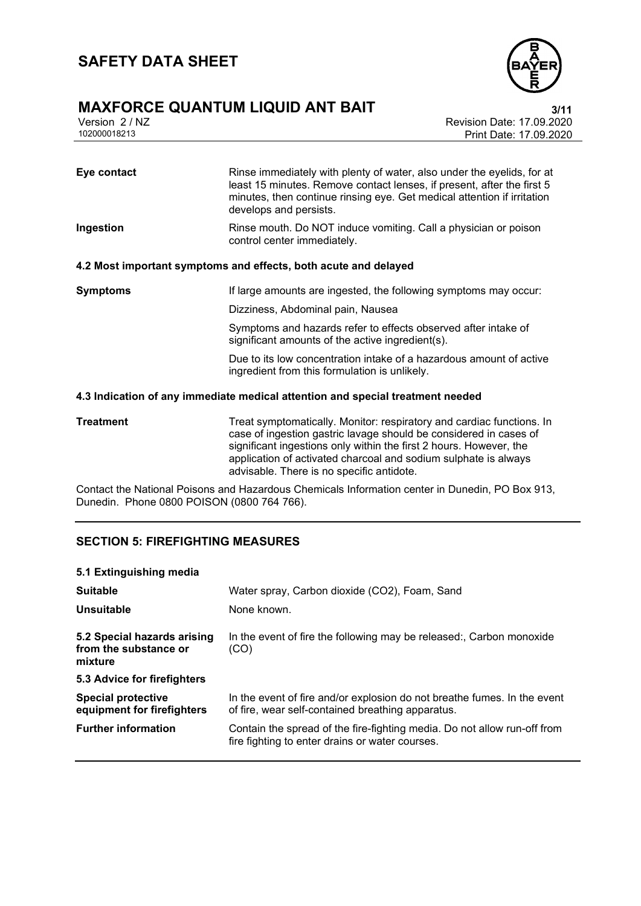# **MAXFORCE QUANTUM LIQUID ANT BAIT**<br>
Version 2/NZ<br>
Revision Date: 17.09.2020



Version 2 / NZ Revision Date: 17.09.2020 Print Date: 17.09.2020

| Eye contact     | Rinse immediately with plenty of water, also under the eyelids, for at<br>least 15 minutes. Remove contact lenses, if present, after the first 5<br>minutes, then continue rinsing eye. Get medical attention if irritation<br>develops and persists. |
|-----------------|-------------------------------------------------------------------------------------------------------------------------------------------------------------------------------------------------------------------------------------------------------|
| Ingestion       | Rinse mouth. Do NOT induce vomiting. Call a physician or poison<br>control center immediately.                                                                                                                                                        |
|                 | 4.2 Most important symptoms and effects, both acute and delayed                                                                                                                                                                                       |
| <b>Symptoms</b> | If large amounts are ingested, the following symptoms may occur:                                                                                                                                                                                      |
|                 | Dizziness, Abdominal pain, Nausea                                                                                                                                                                                                                     |
|                 | Symptoms and hazards refer to effects observed after intake of<br>significant amounts of the active ingredient(s).                                                                                                                                    |
|                 | Due to its low concentration intake of a hazardous amount of active<br>ingredient from this formulation is unlikely.                                                                                                                                  |
|                 |                                                                                                                                                                                                                                                       |

### **4.3 Indication of any immediate medical attention and special treatment needed**

| Treatment | Treat symptomatically. Monitor: respiratory and cardiac functions. In |
|-----------|-----------------------------------------------------------------------|
|           | case of ingestion gastric lavage should be considered in cases of     |
|           | significant ingestions only within the first 2 hours. However, the    |
|           | application of activated charcoal and sodium sulphate is always       |
|           | advisable. There is no specific antidote.                             |

Contact the National Poisons and Hazardous Chemicals Information center in Dunedin, PO Box 913, Dunedin. Phone 0800 POISON (0800 764 766).

### **SECTION 5: FIREFIGHTING MEASURES**

### **5.1 Extinguishing media**

| <b>Suitable</b><br>Unsuitable                                   | Water spray, Carbon dioxide (CO2), Foam, Sand<br>None known.                                                                  |  |  |
|-----------------------------------------------------------------|-------------------------------------------------------------------------------------------------------------------------------|--|--|
| 5.2 Special hazards arising<br>from the substance or<br>mixture | In the event of fire the following may be released:, Carbon monoxide<br>(CO)                                                  |  |  |
| 5.3 Advice for firefighters                                     |                                                                                                                               |  |  |
| <b>Special protective</b><br>equipment for firefighters         | In the event of fire and/or explosion do not breathe fumes. In the event<br>of fire, wear self-contained breathing apparatus. |  |  |
| <b>Further information</b>                                      | Contain the spread of the fire-fighting media. Do not allow run-off from<br>fire fighting to enter drains or water courses.   |  |  |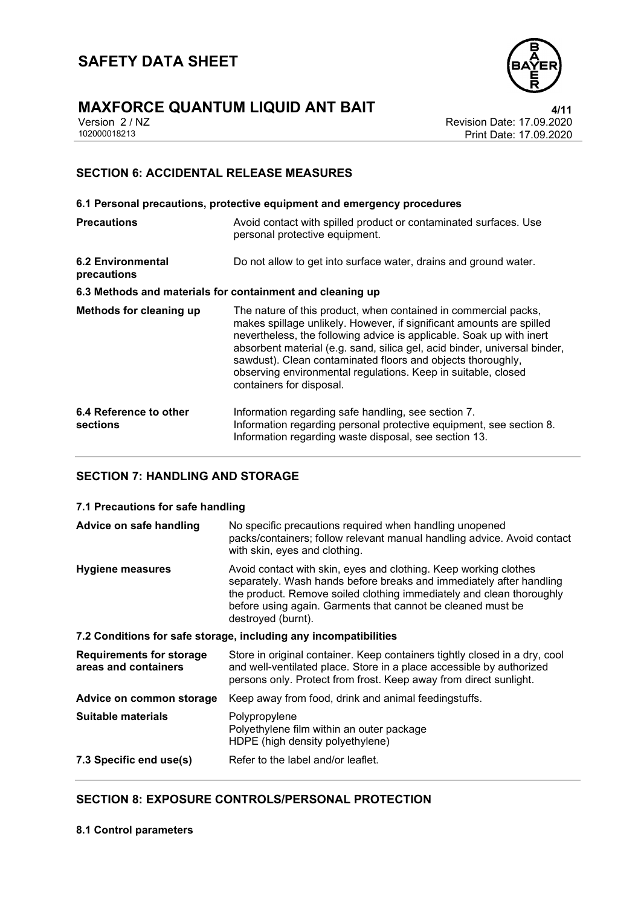



Version 2 / NZ Revision Date: 17.09.2020 Print Date: 17.09.2020

### **SECTION 6: ACCIDENTAL RELEASE MEASURES**

|                                                           | 6.1 Personal precautions, protective equipment and emergency procedures                                                                                                                                                                                                                                                                                                                                                                                  |
|-----------------------------------------------------------|----------------------------------------------------------------------------------------------------------------------------------------------------------------------------------------------------------------------------------------------------------------------------------------------------------------------------------------------------------------------------------------------------------------------------------------------------------|
| <b>Precautions</b>                                        | Avoid contact with spilled product or contaminated surfaces. Use<br>personal protective equipment.                                                                                                                                                                                                                                                                                                                                                       |
| <b>6.2 Environmental</b><br>precautions                   | Do not allow to get into surface water, drains and ground water.                                                                                                                                                                                                                                                                                                                                                                                         |
| 6.3 Methods and materials for containment and cleaning up |                                                                                                                                                                                                                                                                                                                                                                                                                                                          |
| Methods for cleaning up                                   | The nature of this product, when contained in commercial packs,<br>makes spillage unlikely. However, if significant amounts are spilled<br>nevertheless, the following advice is applicable. Soak up with inert<br>absorbent material (e.g. sand, silica gel, acid binder, universal binder,<br>sawdust). Clean contaminated floors and objects thoroughly,<br>observing environmental regulations. Keep in suitable, closed<br>containers for disposal. |
| 6.4 Reference to other<br>sections                        | Information regarding safe handling, see section 7.<br>Information regarding personal protective equipment, see section 8.<br>Information regarding waste disposal, see section 13.                                                                                                                                                                                                                                                                      |

### **SECTION 7: HANDLING AND STORAGE**

### **7.1 Precautions for safe handling**

| Advice on safe handling                                          | No specific precautions required when handling unopened<br>packs/containers; follow relevant manual handling advice. Avoid contact<br>with skin, eyes and clothing.                                                                                                                                  |  |  |
|------------------------------------------------------------------|------------------------------------------------------------------------------------------------------------------------------------------------------------------------------------------------------------------------------------------------------------------------------------------------------|--|--|
| <b>Hygiene measures</b>                                          | Avoid contact with skin, eyes and clothing. Keep working clothes<br>separately. Wash hands before breaks and immediately after handling<br>the product. Remove soiled clothing immediately and clean thoroughly<br>before using again. Garments that cannot be cleaned must be<br>destroyed (burnt). |  |  |
| 7.2 Conditions for safe storage, including any incompatibilities |                                                                                                                                                                                                                                                                                                      |  |  |
| <b>Requirements for storage</b><br>areas and containers          | Store in original container. Keep containers tightly closed in a dry, cool<br>and well-ventilated place. Store in a place accessible by authorized<br>persons only. Protect from frost. Keep away from direct sunlight.                                                                              |  |  |
| Advice on common storage                                         | Keep away from food, drink and animal feedingstuffs.                                                                                                                                                                                                                                                 |  |  |
| Suitable materials                                               | Polypropylene<br>Polyethylene film within an outer package<br>HDPE (high density polyethylene)                                                                                                                                                                                                       |  |  |
| 7.3 Specific end use(s)                                          | Refer to the label and/or leaflet.                                                                                                                                                                                                                                                                   |  |  |

### **SECTION 8: EXPOSURE CONTROLS/PERSONAL PROTECTION**

**8.1 Control parameters**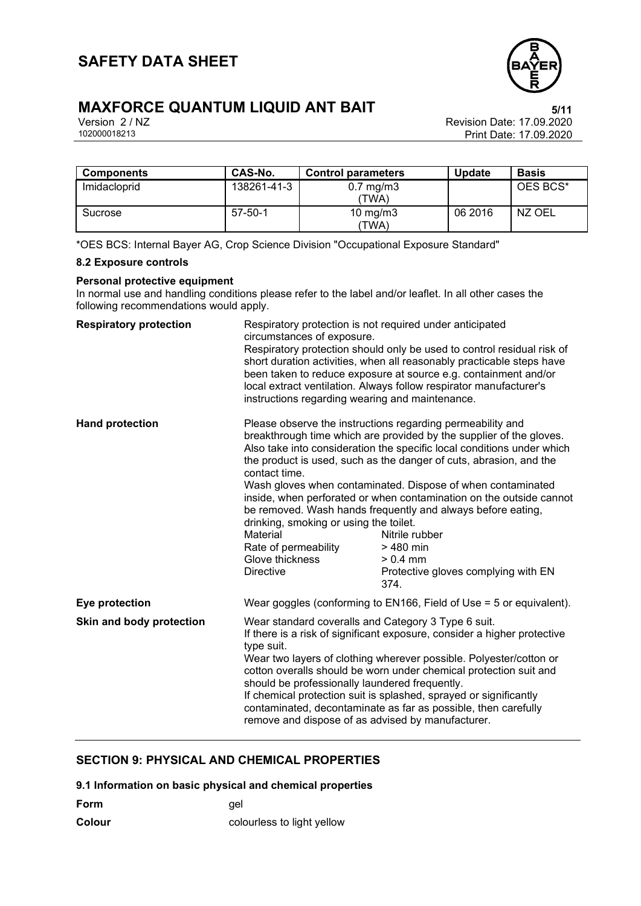

# **MAXFORCE QUANTUM LIQUID ANT BAIT**<br>Version 2/NZ<br>Revision Date: 17.09.2020

Version 2 / NZ Revision Date: 17.09.2020 Print Date: 17.09.2020

| <b>Components</b> | CAS-No.       | <b>Control parameters</b>     | <b>Update</b> | <b>Basis</b> |
|-------------------|---------------|-------------------------------|---------------|--------------|
| Imidacloprid      | 138261-41-3   | $0.7 \text{ mg/m}$ 3<br>'TWA) |               | OES BCS*     |
| Sucrose           | $57 - 50 - 1$ | 10 mg/m $3$<br>'TWA)          | 06 2016       | NZ OEL       |

\*OES BCS: Internal Bayer AG, Crop Science Division "Occupational Exposure Standard"

### **8.2 Exposure controls**

### **Personal protective equipment**

In normal use and handling conditions please refer to the label and/or leaflet. In all other cases the following recommendations would apply.

| <b>Respiratory protection</b> | Respiratory protection is not required under anticipated<br>circumstances of exposure.<br>Respiratory protection should only be used to control residual risk of<br>short duration activities, when all reasonably practicable steps have<br>been taken to reduce exposure at source e.g. containment and/or<br>local extract ventilation. Always follow respirator manufacturer's<br>instructions regarding wearing and maintenance.                                                                                                  |                                                                                                                                                                                                                                                                                                                                                                                                                                                                                                                                                                                    |
|-------------------------------|----------------------------------------------------------------------------------------------------------------------------------------------------------------------------------------------------------------------------------------------------------------------------------------------------------------------------------------------------------------------------------------------------------------------------------------------------------------------------------------------------------------------------------------|------------------------------------------------------------------------------------------------------------------------------------------------------------------------------------------------------------------------------------------------------------------------------------------------------------------------------------------------------------------------------------------------------------------------------------------------------------------------------------------------------------------------------------------------------------------------------------|
| <b>Hand protection</b>        | contact time.<br>drinking, smoking or using the toilet.<br>Material<br>Rate of permeability<br>Glove thickness<br><b>Directive</b>                                                                                                                                                                                                                                                                                                                                                                                                     | Please observe the instructions regarding permeability and<br>breakthrough time which are provided by the supplier of the gloves.<br>Also take into consideration the specific local conditions under which<br>the product is used, such as the danger of cuts, abrasion, and the<br>Wash gloves when contaminated. Dispose of when contaminated<br>inside, when perforated or when contamination on the outside cannot<br>be removed. Wash hands frequently and always before eating,<br>Nitrile rubber<br>> 480 min<br>$> 0.4$ mm<br>Protective gloves complying with EN<br>374. |
| Eye protection                | Wear goggles (conforming to $EN166$ , Field of Use = 5 or equivalent).                                                                                                                                                                                                                                                                                                                                                                                                                                                                 |                                                                                                                                                                                                                                                                                                                                                                                                                                                                                                                                                                                    |
| Skin and body protection      | Wear standard coveralls and Category 3 Type 6 suit.<br>If there is a risk of significant exposure, consider a higher protective<br>type suit.<br>Wear two layers of clothing wherever possible. Polyester/cotton or<br>cotton overalls should be worn under chemical protection suit and<br>should be professionally laundered frequently.<br>If chemical protection suit is splashed, sprayed or significantly<br>contaminated, decontaminate as far as possible, then carefully<br>remove and dispose of as advised by manufacturer. |                                                                                                                                                                                                                                                                                                                                                                                                                                                                                                                                                                                    |

### **SECTION 9: PHYSICAL AND CHEMICAL PROPERTIES**

**9.1 Information on basic physical and chemical properties**

| <b>Form</b> | qel                        |
|-------------|----------------------------|
| Colour      | colourless to light yellow |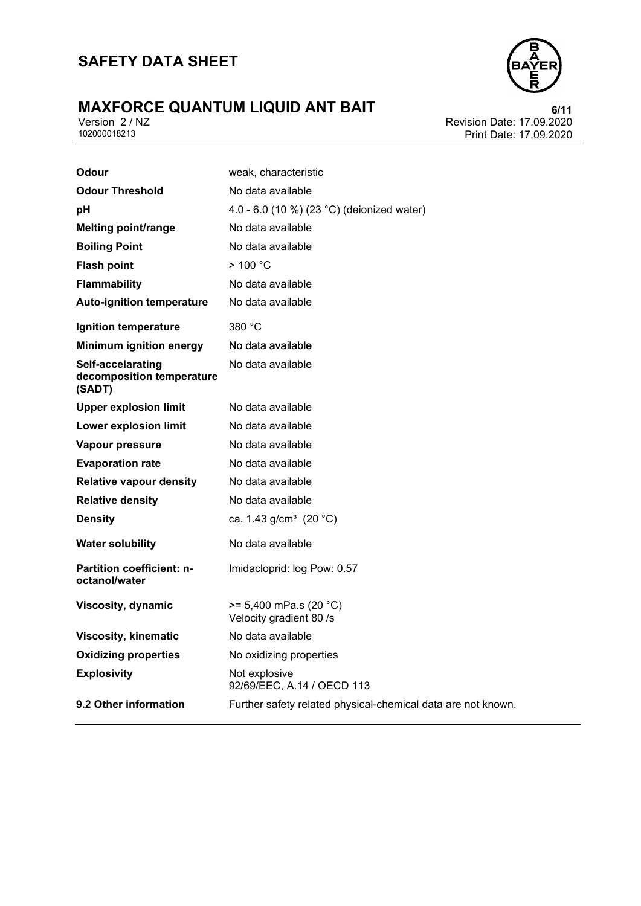# **MAXFORCE QUANTUM LIQUID ANT BAIT**<br>
Version 2/NZ<br>
102000018213<br>
Print Date: 17.09.2020



Revision Date: 17.09.2020 Print Date: 17.09.2020

| Odour                                                    | weak, characteristic                                         |
|----------------------------------------------------------|--------------------------------------------------------------|
| <b>Odour Threshold</b>                                   | No data available                                            |
| pH                                                       | 4.0 - 6.0 (10 %) (23 °C) (deionized water)                   |
| <b>Melting point/range</b>                               | No data available                                            |
| <b>Boiling Point</b>                                     | No data available                                            |
| <b>Flash point</b>                                       | >100 °C                                                      |
| <b>Flammability</b>                                      | No data available                                            |
| <b>Auto-ignition temperature</b>                         | No data available                                            |
| Ignition temperature                                     | 380 °C                                                       |
| <b>Minimum ignition energy</b>                           | No data available                                            |
| Self-accelarating<br>decomposition temperature<br>(SADT) | No data available                                            |
| <b>Upper explosion limit</b>                             | No data available                                            |
| <b>Lower explosion limit</b>                             | No data available                                            |
| Vapour pressure                                          | No data available                                            |
| <b>Evaporation rate</b>                                  | No data available                                            |
| <b>Relative vapour density</b>                           | No data available                                            |
| <b>Relative density</b>                                  | No data available                                            |
| <b>Density</b>                                           | ca. 1.43 g/cm <sup>3</sup> (20 °C)                           |
| <b>Water solubility</b>                                  | No data available                                            |
| <b>Partition coefficient: n-</b><br>octanol/water        | Imidacloprid: log Pow: 0.57                                  |
| Viscosity, dynamic                                       | $>= 5,400$ mPa.s (20 °C)<br>Velocity gradient 80 /s          |
| <b>Viscosity, kinematic</b>                              | No data available                                            |
| <b>Oxidizing properties</b>                              | No oxidizing properties                                      |
| <b>Explosivity</b>                                       | Not explosive<br>92/69/EEC, A.14 / OECD 113                  |
| 9.2 Other information                                    | Further safety related physical-chemical data are not known. |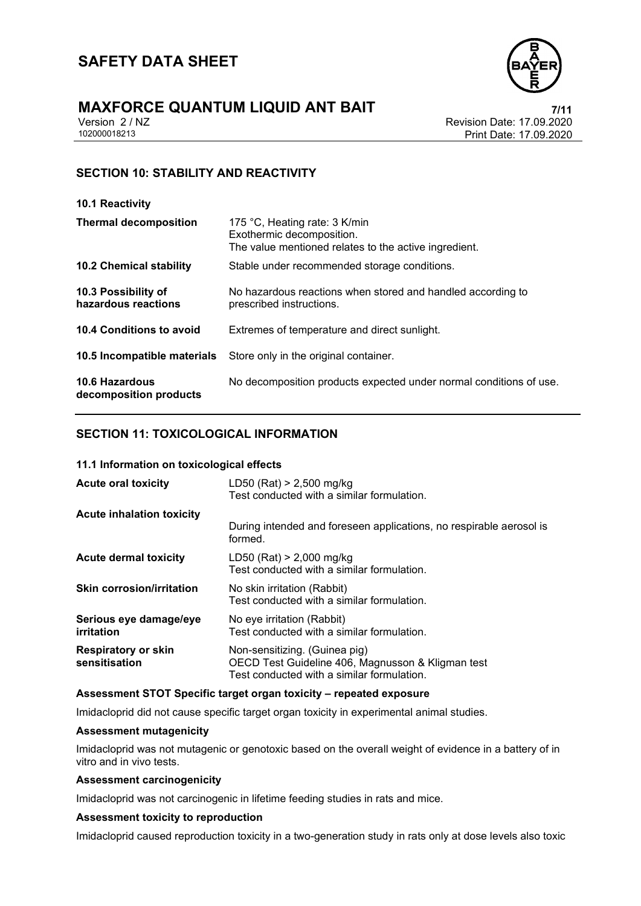

# **MAXFORCE QUANTUM LIQUID ANT BAIT**<br>
Version 2 / NZ<br>
Revision Date: 17.09.2020

Version 2 / NZ Revision Date: 17.09.2020 Print Date: 17.09.2020

### **SECTION 10: STABILITY AND REACTIVITY**

| 10.1 Reactivity                                 |                                                                                                                     |
|-------------------------------------------------|---------------------------------------------------------------------------------------------------------------------|
| <b>Thermal decomposition</b>                    | 175 °C, Heating rate: 3 K/min<br>Exothermic decomposition.<br>The value mentioned relates to the active ingredient. |
| <b>10.2 Chemical stability</b>                  | Stable under recommended storage conditions.                                                                        |
| 10.3 Possibility of<br>hazardous reactions      | No hazardous reactions when stored and handled according to<br>prescribed instructions.                             |
| 10.4 Conditions to avoid                        | Extremes of temperature and direct sunlight.                                                                        |
| 10.5 Incompatible materials                     | Store only in the original container.                                                                               |
| <b>10.6 Hazardous</b><br>decomposition products | No decomposition products expected under normal conditions of use.                                                  |

### **SECTION 11: TOXICOLOGICAL INFORMATION**

### **11.1 Information on toxicological effects**

| <b>Acute oral toxicity</b>                  | LD50 (Rat) $> 2,500$ mg/kg<br>Test conducted with a similar formulation.                                                         |
|---------------------------------------------|----------------------------------------------------------------------------------------------------------------------------------|
| <b>Acute inhalation toxicity</b>            |                                                                                                                                  |
|                                             | During intended and foreseen applications, no respirable aerosol is<br>formed.                                                   |
| Acute dermal toxicity                       | $LD50$ (Rat) > 2,000 mg/kg<br>Test conducted with a similar formulation.                                                         |
| <b>Skin corrosion/irritation</b>            | No skin irritation (Rabbit)<br>Test conducted with a similar formulation.                                                        |
| Serious eye damage/eye<br>irritation        | No eye irritation (Rabbit)<br>Test conducted with a similar formulation.                                                         |
| <b>Respiratory or skin</b><br>sensitisation | Non-sensitizing. (Guinea pig)<br>OECD Test Guideline 406, Magnusson & Kligman test<br>Test conducted with a similar formulation. |

### **Assessment STOT Specific target organ toxicity – repeated exposure**

Imidacloprid did not cause specific target organ toxicity in experimental animal studies.

### **Assessment mutagenicity**

Imidacloprid was not mutagenic or genotoxic based on the overall weight of evidence in a battery of in vitro and in vivo tests.

### **Assessment carcinogenicity**

Imidacloprid was not carcinogenic in lifetime feeding studies in rats and mice.

### **Assessment toxicity to reproduction**

Imidacloprid caused reproduction toxicity in a two-generation study in rats only at dose levels also toxic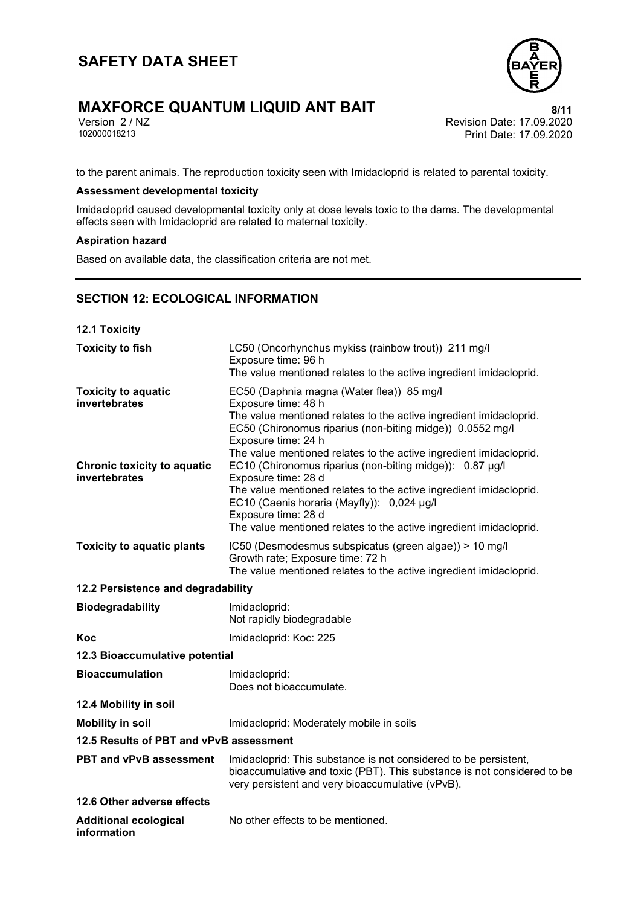# **MAXFORCE QUANTUM LIQUID ANT BAIT**<br>
Version 2/ NZ<br>
Revision Date: 17.09.2020





Version 2 / NZ Revision Date: 17.09.2020 Print Date: 17.09.2020

to the parent animals. The reproduction toxicity seen with Imidacloprid is related to parental toxicity.

### **Assessment developmental toxicity**

Imidacloprid caused developmental toxicity only at dose levels toxic to the dams. The developmental effects seen with Imidacloprid are related to maternal toxicity.

### **Aspiration hazard**

Based on available data, the classification criteria are not met.

### **SECTION 12: ECOLOGICAL INFORMATION**

| <b>12.1 Toxicity</b>                                                                               |                                                                                                                                                                                                                                                                                                                                                                                     |
|----------------------------------------------------------------------------------------------------|-------------------------------------------------------------------------------------------------------------------------------------------------------------------------------------------------------------------------------------------------------------------------------------------------------------------------------------------------------------------------------------|
| <b>Toxicity to fish</b>                                                                            | LC50 (Oncorhynchus mykiss (rainbow trout)) 211 mg/l<br>Exposure time: 96 h<br>The value mentioned relates to the active ingredient imidacloprid.                                                                                                                                                                                                                                    |
| <b>Toxicity to aquatic</b><br>invertebrates<br><b>Chronic toxicity to aquatic</b><br>invertebrates | EC50 (Daphnia magna (Water flea)) 85 mg/l<br>Exposure time: 48 h<br>The value mentioned relates to the active ingredient imidacloprid.<br>EC50 (Chironomus riparius (non-biting midge)) 0.0552 mg/l<br>Exposure time: 24 h<br>The value mentioned relates to the active ingredient imidacloprid.<br>EC10 (Chironomus riparius (non-biting midge)): 0.87 µg/l<br>Exposure time: 28 d |
|                                                                                                    | The value mentioned relates to the active ingredient imidacloprid.<br>EC10 (Caenis horaria (Mayfly)): 0,024 µg/l<br>Exposure time: 28 d<br>The value mentioned relates to the active ingredient imidacloprid.                                                                                                                                                                       |
| <b>Toxicity to aquatic plants</b>                                                                  | IC50 (Desmodesmus subspicatus (green algae)) > 10 mg/l<br>Growth rate; Exposure time: 72 h<br>The value mentioned relates to the active ingredient imidacloprid.                                                                                                                                                                                                                    |
| 12.2 Persistence and degradability                                                                 |                                                                                                                                                                                                                                                                                                                                                                                     |
| <b>Biodegradability</b>                                                                            | Imidacloprid:<br>Not rapidly biodegradable                                                                                                                                                                                                                                                                                                                                          |
| Koc                                                                                                | Imidacloprid: Koc: 225                                                                                                                                                                                                                                                                                                                                                              |
| 12.3 Bioaccumulative potential                                                                     |                                                                                                                                                                                                                                                                                                                                                                                     |
| <b>Bioaccumulation</b>                                                                             | Imidacloprid:<br>Does not bioaccumulate.                                                                                                                                                                                                                                                                                                                                            |
| 12.4 Mobility in soil                                                                              |                                                                                                                                                                                                                                                                                                                                                                                     |
| <b>Mobility in soil</b>                                                                            | Imidacloprid: Moderately mobile in soils                                                                                                                                                                                                                                                                                                                                            |
| 12.5 Results of PBT and vPvB assessment                                                            |                                                                                                                                                                                                                                                                                                                                                                                     |
| <b>PBT and vPvB assessment</b>                                                                     | Imidacloprid: This substance is not considered to be persistent,<br>bioaccumulative and toxic (PBT). This substance is not considered to be<br>very persistent and very bioaccumulative (vPvB).                                                                                                                                                                                     |
| 12.6 Other adverse effects                                                                         |                                                                                                                                                                                                                                                                                                                                                                                     |
| <b>Additional ecological</b><br>information                                                        | No other effects to be mentioned.                                                                                                                                                                                                                                                                                                                                                   |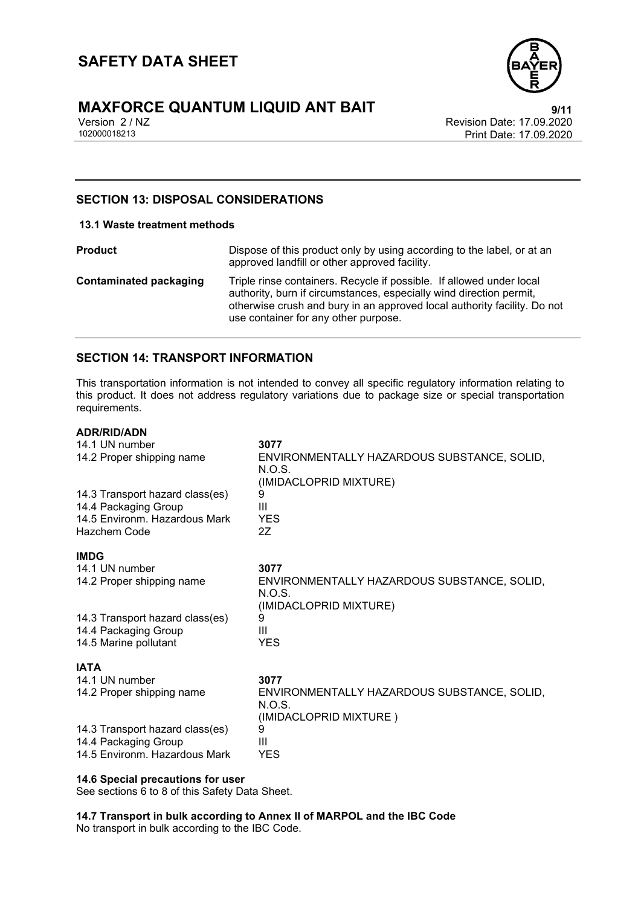

# **MAXFORCE QUANTUM LIQUID ANT BAIT**<br>
Version 2/NZ<br>
Revision Date: 17.09.2020

Version 2 / NZ Revision Date: 17.09.2020 Print Date: 17.09.2020

### **SECTION 13: DISPOSAL CONSIDERATIONS**

### **13.1 Waste treatment methods**

**Product Product Dispose of this product only by using according to the label, or at an** approved landfill or other approved facility. **Contaminated packaging** Triple rinse containers. Recycle if possible. If allowed under local authority, burn if circumstances, especially wind direction permit, otherwise crush and bury in an approved local authority facility. Do not use container for any other purpose.

### **SECTION 14: TRANSPORT INFORMATION**

This transportation information is not intended to convey all specific regulatory information relating to this product. It does not address regulatory variations due to package size or special transportation requirements.

### **ADR/RID/ADN**

| 14.1 UN number<br>14.2 Proper shipping name                                                              | 3077<br>ENVIRONMENTALLY HAZARDOUS SUBSTANCE, SOLID,<br>N.O.S.<br>(IMIDACLOPRID MIXTURE) |
|----------------------------------------------------------------------------------------------------------|-----------------------------------------------------------------------------------------|
| 14.3 Transport hazard class(es)<br>14.4 Packaging Group<br>14.5 Environm. Hazardous Mark<br>Hazchem Code | 9<br>Ш<br><b>YES</b><br>27                                                              |
| <b>IMDG</b>                                                                                              |                                                                                         |
| 14.1 UN number                                                                                           | 3077                                                                                    |
| 14.2 Proper shipping name                                                                                | ENVIRONMENTALLY HAZARDOUS SUBSTANCE, SOLID,<br>N.O.S.<br>(IMIDACLOPRID MIXTURE)         |
| 14.3 Transport hazard class(es)                                                                          | 9                                                                                       |
| 14.4 Packaging Group<br>14.5 Marine pollutant                                                            | Ш<br><b>YES</b>                                                                         |
|                                                                                                          |                                                                                         |
| <b>IATA</b>                                                                                              |                                                                                         |
| 14.1 UN number<br>14.2 Proper shipping name                                                              | 3077<br>ENVIRONMENTALLY HAZARDOUS SUBSTANCE, SOLID,                                     |
|                                                                                                          | N.O.S.<br>(IMIDACLOPRID MIXTURE)                                                        |
| 14.3 Transport hazard class(es)                                                                          | 9                                                                                       |
| 14.4 Packaging Group<br>14.5 Environm. Hazardous Mark                                                    | Ш<br>YES                                                                                |
|                                                                                                          |                                                                                         |

### **14.6 Special precautions for user**

See sections 6 to 8 of this Safety Data Sheet.

**14.7 Transport in bulk according to Annex II of MARPOL and the IBC Code**

No transport in bulk according to the IBC Code.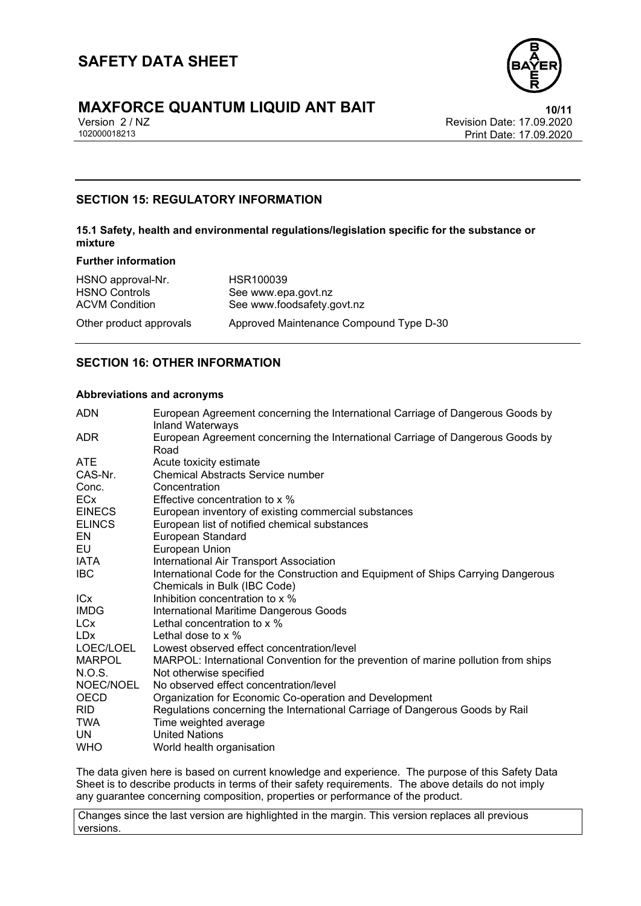

# **MAXFORCE QUANTUM LIQUID ANT BAIT**<br>
Version 2/NZ<br>
Revision Date: 17.09.2020

Version 2 / NZ Revision Date: 17.09.2020 Print Date: 17.09.2020

### **SECTION 15: REGULATORY INFORMATION**

### **15.1 Safety, health and environmental regulations/legislation specific for the substance or mixture**

### **Further information**

| HSNO approval-Nr.<br><b>HSNO Controls</b> | HSR100039<br>See www.epa.govt.nz        |
|-------------------------------------------|-----------------------------------------|
| <b>ACVM Condition</b>                     | See www.foodsafety.govt.nz              |
| Other product approvals                   | Approved Maintenance Compound Type D-30 |

### **SECTION 16: OTHER INFORMATION**

### **Abbreviations and acronyms**

| <b>ADN</b>            | European Agreement concerning the International Carriage of Dangerous Goods by<br><b>Inland Waterways</b> |
|-----------------------|-----------------------------------------------------------------------------------------------------------|
| ADR.                  | European Agreement concerning the International Carriage of Dangerous Goods by<br>Road                    |
| <b>ATE</b>            | Acute toxicity estimate                                                                                   |
| CAS-Nr.               | <b>Chemical Abstracts Service number</b>                                                                  |
| Conc.                 | Concentration                                                                                             |
| <b>ECx</b>            | Effective concentration to x %                                                                            |
| <b>EINECS</b>         | European inventory of existing commercial substances                                                      |
| <b>ELINCS</b>         | European list of notified chemical substances                                                             |
| EN                    | European Standard                                                                                         |
| EU                    | European Union                                                                                            |
| IATA                  | International Air Transport Association                                                                   |
| <b>IBC</b>            | International Code for the Construction and Equipment of Ships Carrying Dangerous                         |
|                       | Chemicals in Bulk (IBC Code)                                                                              |
| <b>IC<sub>x</sub></b> | Inhibition concentration to x %                                                                           |
| <b>IMDG</b>           | International Maritime Dangerous Goods                                                                    |
| LC <sub>x</sub>       | Lethal concentration to x %                                                                               |
| LDx                   | Lethal dose to $\times$ %                                                                                 |
| LOEC/LOEL             | Lowest observed effect concentration/level                                                                |
| <b>MARPOL</b>         | MARPOL: International Convention for the prevention of marine pollution from ships                        |
| N.O.S.                | Not otherwise specified                                                                                   |
| NOEC/NOEL             | No observed effect concentration/level                                                                    |
| <b>OECD</b>           | Organization for Economic Co-operation and Development                                                    |
| RID.                  | Regulations concerning the International Carriage of Dangerous Goods by Rail                              |
| <b>TWA</b>            | Time weighted average                                                                                     |
| UN.                   | <b>United Nations</b>                                                                                     |
| <b>WHO</b>            | World health organisation                                                                                 |

The data given here is based on current knowledge and experience. The purpose of this Safety Data Sheet is to describe products in terms of their safety requirements. The above details do not imply any guarantee concerning composition, properties or performance of the product.

Changes since the last version are highlighted in the margin. This version replaces all previous versions.